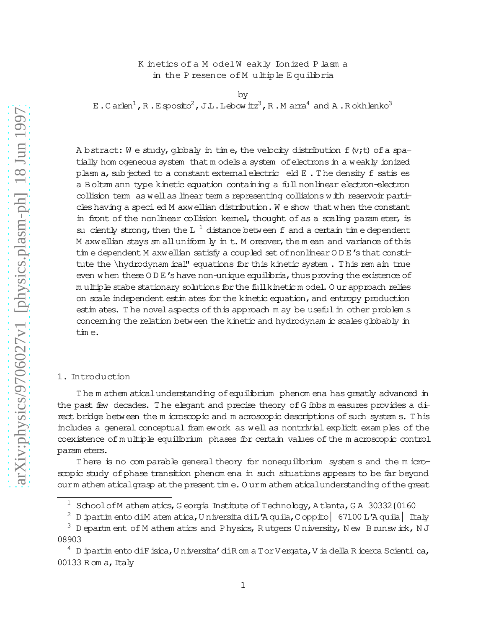# K inetics of a M odelW eakly Ionized P lasm a in the P resence of M ultiple E quilibria

by

E.C arlen<sup>1</sup>, R.Esposito<sup>2</sup>, J.L.Lebow itz<sup>3</sup>, R.M arra<sup>4</sup> and A.Rokhlenko<sup>3</sup>

A bstract: W e study, globaly in time, the velocity distribution  $f(x;t)$  of a spatially hom ogeneous system that models a system of electrons in a weakly ionized plasm a, sub jected to a constant external electric eld E. The density f satis es a Boltzm ann type kinetic equation containing a fullnonlinear electron-electron collision term as wellas linear term s representing collisions w ith reservoir particles having a specied M axwellian distribution. We show that when the constant in front of the nonlinear collision kemel, thought of as a scaling param eter, is su ciently strong, then the L<sup>1</sup> distance between f and a certain time dependent M axwellian stays  $\text{sm}$  all uniform  $\text{ly}$  in t. M oreover, the m ean and variance of this tim e dependent M axwellian satisfy a coupled set of nonlinear OD E's that constitute the \hydrodynam ical" equations for this kinetic system . T his rem ain true even w hen these  $0 \, \text{D} \, \text{E}'$ s have non-unique equilibria, thus proving the existence of m ultiple stabe stationary solutions for the full kineticm odel. O urapproach relies on scale independent estim ates for the kinetic equation, and entropy production estim ates. The novel aspects of this approach m ay be useful in other problem s concerning the relation between the kinetic and hydrodynam ic scalesglobably in tim e.

#### 1. Introduction

T he m athem aticalunderstanding ofequilibrium phenom ena has greatly advanced in the past few decades. The elegant and precise theory of G ibbs m easures provides a direct bridge between the m icroscopic and m acroscopic descriptions of such system s. This includes a general conceptual fram ework as well as nontrivial explicit exam ples of the coexistence of m ultiple equilibrium phases for certain values of the m acroscopic control param eters.

T here is no com parable general theory for nonequilibrium system s and the m icroscopic study of phase transition phenom ena in such situations appears to be far beyond ourm athem aticalgrasp at the present time. Ourm athem aticalunderstanding of the great

 $1$  SchoolofM athem atics, G eorgia Institute of Technology, A tlanta, G A 30332{0160

<sup>2</sup> D ipartim ento diM atem atica,U niversita diL'A quila,C oppito| 67100 L'A quila| Italy

 $^3$  D epartm ent of M athem atics and Physics, Rutgers U niversity, N ew B runswick, N J 08903

D ipartim ento diFisica, U niversita' di Rom a Tor Vergata, V ia della Ricerca Scienti ca, 00133 R om  $a$ , Italy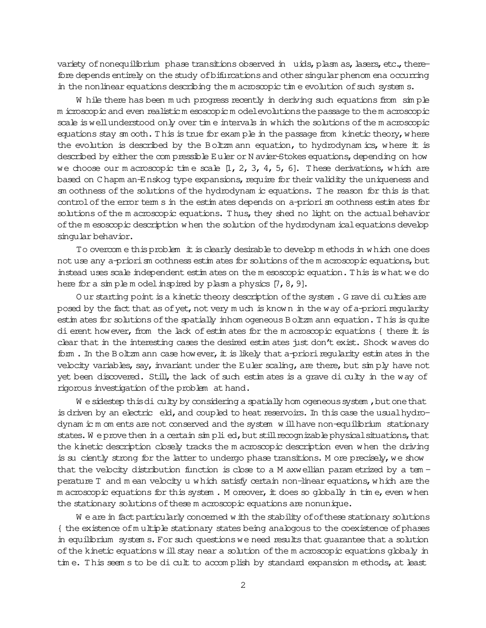variety of nonequilibrium phase transitions observed in uids, plasm as, lasers, etc., therefore depends entirely on the study of bifurcations and other singular phenom ena occurring in the nonlinear equations describing the m acroscopic time evolution of such system s.

W hile there has been m uch progress recently in deriving such equations from sim ple m icroscopic and even realisticm esoscopic m odelevolutionsthe passage to the m acroscopic scale iswellunderstood only over tim e intervals in which the solutions ofthe m acroscopic equations stay  $\sin \coth$ . This is true for exam ple in the passage from kinetic theory, where the evolution is described by the Boltzm ann equation, to hydrodynam ics, where it is described by either the com pressible Euler or N avier-Stokes equations, depending on how we choose our m acroscopic time scale  $[1, 2, 3, 4, 5, 6]$ . These derivations, which are based on C hapm an-Enskog type expansions, require for their validity the uniqueness and sm oothness ofthe solutions ofthe hydrodynam ic equations. T he reason for this is that control of the error term s in the estim ates depends on a-priorism oothness estim ates for solutions of the m acroscopic equations. Thus, they shed no light on the actual behavior ofthe m esoscopic description w hen the solution ofthe hydrodynam icalequationsdevelop singular behavior.

To overcom e thisproblem itisclearly desirable to develop m ethodsin w hich one does not use any a-priorism oothness estim ates for solutions of the m acroscopic equations, but instead uses scale independent estim ates on the m esoscopic equation. T his is w hat we do here for a simple m odel inspired by plasm a physics  $[7, 8, 9]$ .

O ur starting point is a kinetic theory description of the system . G rave di culties are posed by the fact that as of yet, not very  $m$  uch is know n in the way of a-priori regularity estim ates for solutions ofthe spatially inhom ogeneous Boltzm ann equation. T his is quite dierent however, from the lack of estim ates for the m acroscopic equations { there it is clear that in the interesting cases the desired estim ates just don't exist. Shock waves do form . In the Boltzm ann case however, it is likely that a-priori regularity estim ates in the velocity variables, say, invariant under the Euler scaling, are there, but  $\sin p$  have not yet been discovered. Still, the lack of such estim ates is a grave diculty in the way of rigorous investigation of the problem at hand.

W e sidestep this diculty by considering a spatially hom ogeneous system , but one that is driven by an electric eld, and coupled to heat reservoirs. In this case the usual hydrodynam ic m om ents are not conserved and the system w illhave non-equilibrium stationary states. We prove then in a certain simplied, but still recognizable physical situations, that the kinetic description closely tracks the m acroscopic description even w hen the driving is su ciently strong for the latter to undergo phase transitions. M ore precisely, we show that the velocity distribution function is close to a M axwellian param etrized by a tem perature T and m ean velocity u w hich satisfy certain non-linear equations, w hich are the m acroscopic equations for this system. M oreover, it does so globally in tim e, even w hen the stationary solutions of these m acroscopic equations are nonunique.

W e are in fact particularly concerned w ith the stability of of these stationary solutions { the existence ofm ultiple stationary states being analogous to the coexistence ofphases in equilibrium system s. For such questions we need results that quarantee that a solution of the kinetic equations w ill stay near a solution of the m acroscopic equations globaly in tim e. This seem s to be dicult to accomplish by standard expansion methods, at least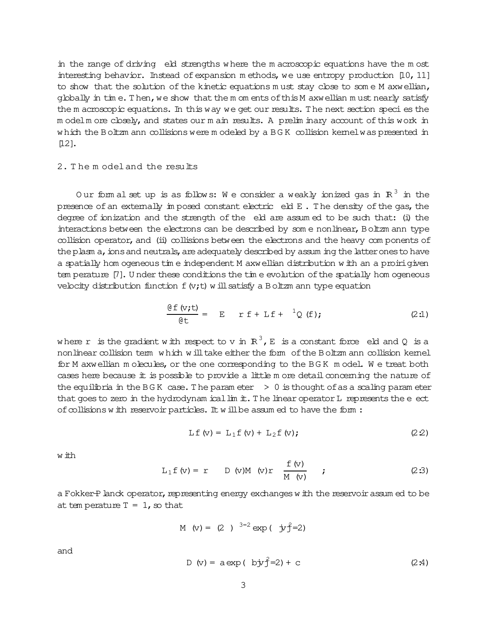in the range of driving eld strengths where the m acroscopic equations have the m ost interesting behavior. Instead of expansion m ethods, we use entropy production [10, 11] to show that the solution of the kinetic equations must stay close to some M axwellian, globally in tim e. Then, we show that the m om ents of this M axwellian must nearly satisfy the m acroscopic equations. In this way we get our results. The next section species the m odelm ore closely, and states our m ain results. A prelim inary account of this work in w hich the Boltzm ann collisions were m odeled by a BGK collision kernel was presented in  $[12]$ .

# 2. T he m odeland the results

Our form al set up is as follows: We consider a weakly ionized gas in  $R^3$  in the presence of an externally im posed constant electric eld E. The density of the gas, the degree of ionization and the strength of the eld are assumed to be such that: (i) the interactions between the electrons can be described by some nonlinear, Boltzm ann type collision operator, and (ii) collisions between the electrons and the heavy components of the plasm a, ions and neutrals, are adequately described by assum ing the latter ones to have a spatially hom ogeneous tim e independent M axwellian distribution w ith an a proirigiven tem perature [7]. U nder these conditions the tim e evolution of the spatially hom ogeneous velocity distribution function  $f(y;t)$  w ill satisfy a Boltzm ann type equation

$$
\frac{\partial f(v,t)}{\partial t} = E \quad r f + Lf + \ ^{1}Q(f); \qquad (2:1)
$$

where r is the gradient with respect to v in  $R^3$ , E is a constant force eld and Q is a nonlinear collision term w hich w ill take either the form of the Boltzm ann collision kernel for M axwellian m olecules, or the one corresponding to the BGK m odel. We treat both cases here because it is possible to provide a little m ore detail concerning the nature of the equilibria in the BGK case. The param eter  $> 0$  is thought of as a scaling param eter that goes to zero in the hydrodynam icallim it. The linear operator  $L$  represents the  $e$  ect of collisions w ith reservoir particles. It w ill be assum ed to have the form :

$$
Lf (v) = L_1 f (v) + L_2 f (v); \qquad (2.2)
$$

w ith

$$
L_1 f(v) = r \t D(v)M(v)r \frac{f(v)}{M(v)} \t (2.3)
$$

a Fokker-Planck operator, representing energy exchanges with the reservoir assum ed to be at tem perature  $T = 1$ , so that

M (v) = (2)  $3=2 \exp(-j y^2=2)$ 

and

D (v) = a exp ( by 
$$
\hat{f}
$$
=2) + c (2.4)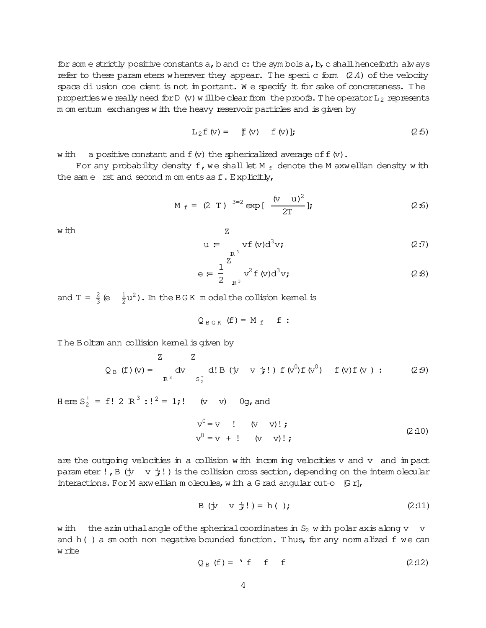for some strictly positive constants a, b and c: the symbols a, b, c shall henceforth always refer to these parameters wherever they appear. The speci c form  $(2.4)$  of the velocity space di usion coe cient is not in portant. We specify it for sake of concreteness. The properties we really need for D (v) will be clear from the proofs. The operator  $L_2$  represents m om entum exchanges with the heavy reservoir particles and is given by

$$
L_2 f(v) = f(v) \quad f(v); \qquad (2.5)
$$

w ith a positive constant and  $f(x)$  the sphericalized average of  $f(x)$ .

For any probability density f, we shall let M  $_f$  denote the M axwellian density with the same rst and second m om ents as f. Explicitly,

 $Z_{\text{}}$ 

$$
M_f = (2 T)^{3=2} exp \left[ \frac{(v u)^2}{2T} \right];
$$
 (2:6)

w ith

$$
u = \int_{R^3} v f(v) d^3 v;
$$
 (2:7)

$$
e = \frac{1}{2} \int_{R^3}^{\infty} v^2 f(v) d^3 v;
$$
 (2.8)

and  $T = \frac{2}{3} (e - \frac{1}{2} u^2)$ . In the BGK m odel the collision kemel is

$$
Q_{B G K} (f) = M_f f
$$

The Boltzm ann collision kemel is given by

$$
Q_{B} (f) (v) = \begin{cases} Z & Z \\ E^3 & \text{d'} \end{cases} d! B (y v j!) f (v^0) f (v^0) f (v) : (2.9)
$$

Here  $S_2^+ = f! 2 R^3$ :  $l^2 = 1$ ;  $\vdots$  (v v) 0g, and

$$
v^{0} = v \qquad ! \qquad (v \qquad v) ! ; \qquad (2:10)
$$
  

$$
v^{0} = v + ! \qquad (v \qquad v) ! ; \qquad (2:10)
$$

are the outgoing velocities in a collision with incoming velocities v and v and impact parameter!, B  $(\dot{y} \quad v \dot{t})$  is the collision cross section, depending on the intermolecular interactions. For M axwellian m olecules, with a G rad angular cut-o  $[Gr]$ ,

$$
B (jv v j!) = h( );
$$
 (2:11)

the azimuthal angle of the spherical coordinates in  $S_2$  with polar axis along v v w ith and h() a sm ooth non negative bounded function. Thus, for any nom alized f we can w rite

$$
Q_B (f) = 'f f f
$$
 (2:12)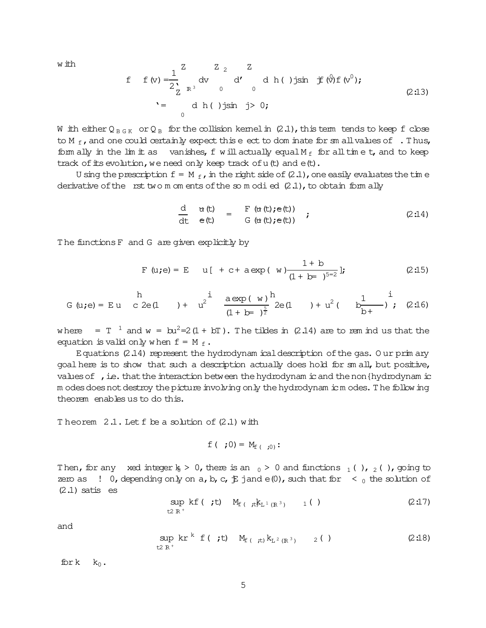w ith

f f(v) = 
$$
\frac{1}{2} \int_{\frac{1}{2}}^{2} dv \int_{0}^{2} d' \, du
$$
 h(t) jsin j f( $\theta$ )f (v<sup>0</sup>);  
\n $= \int_{0}^{2} d h(t) j \sin j > 0;$  (2:13)

W ith either Q<sub>BGK</sub> or Q<sub>B</sub> for the collision kemel in (2.1), this term tends to keep f close to M  $_f$ , and one could certainly expect this e ect to dom inate for sm all values of . Thus, form ally in the lim it as vanishes, f will actually equal  $M_f$  for all time t, and to keep track of its evolution, we need only keep track of u(t) and e(t).

U sing the prescription  $f = M_f$ , in the right side of (2.1), one easily evaluates the time derivative of the rst two m om ents of the so m odi ed  $(2.1)$ , to obtain form ally

$$
\frac{d}{dt} \quad \frac{d}{dt}(t) = F(\alpha(t); e(t)) \n\frac{d}{dt} \quad e(t) = G(\alpha(t); e(t))
$$
\n(2.14)

The functions F and G are given explicitly by

$$
F(u; e) = E \t u[ + c + a exp(u) \frac{1 + b}{(1 + b - )^{5-2}}];
$$
 (2:15)

where =  $T^{-1}$  and w =  $bu^2=2(1 + bT)$ . The tildes in (2.14) are to rem ind us that the equation is valid only when  $f = M_f$ .

Equations  $(2.14)$  represent the hydrodynam ical description of the gas. Our primary goal here is to show that such a description actually does hold for sm all, but positive, values of , i.e. that the interaction between the hydrodynam is and the non {hydrodynam is m odes does not destroy the picture involving only the hydrodynam icm odes. The following theorem enables us to do this.

Theorem 2.1. Let f be a solution of (2.1) with

f ( ; 0) =  $M_{f($  :0):

Then, for any xed integer  $k > 0$ , there is an  $_0 > 0$  and functions  $_1$  (),  $_2$  (), going to zero as  $\cdot$  0, depending only on a, b, c,  $\ddagger$  jand e(0), such that for  $\cdot$  0 the solution of  $(2.1)$  satis es

$$
\sup_{t \ge R^+} k f(t, t) M_{f(t, t)} k_{L^1(R^3)} \qquad 1 \qquad (2.17)
$$

and

$$
\sup_{t \ge R^+} k r^k f(\mathbf{t}) \mathbf{M}_{f(\mathbf{t})} k_{L^2(R^3)} \qquad 2 \text{ } (\text{)}
$$
 (2:18)

for  $k_0$ .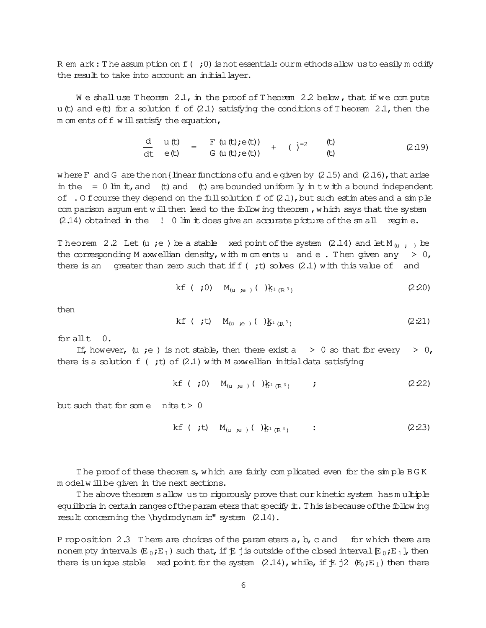R em ark: The assumption on  $f($ ; 0) is not essential: our methods allow us to easily modify the result to take into account an initial layer.

We shall use Theorem  $2.1$ , in the proof of Theorem  $2.2$  below, that if we compute u (t) and  $e(t)$  for a solution f of (2.1) satisfying the conditions of Theorem 2.1, then the m om ents of f w ill satisfy the equation,

$$
\frac{d}{dt} u(t) = F (u(t); e(t)) + (3i)^2
$$
\n
$$
= G (u(t); e(t)) + (3i)^2
$$
\n
$$
= G (u(t); e(t)) + (3i)^2
$$
\n
$$
= G (u(t); e(t)) + (3i)^2
$$
\n
$$
= G (u(t); e(t)) + (3i)^2
$$
\n
$$
= G (u(t); e(t)) + (3i)^2
$$
\n
$$
= G (u(t); e(t)) + (3i)^2
$$
\n
$$
= G (u(t); e(t)) + (3i)^2
$$
\n
$$
= G (u(t); e(t)) + (3i)^2
$$
\n
$$
= G (u(t); e(t)) + (3i)^2
$$

where F and G are the non {linear functions of u and e given by  $(2.15)$  and  $(2.16)$ , that arise in the  $= 0$  lim it, and (t) and (t) are bounded uniform ly in twith a bound independent of . O foourse they depend on the full solution  $f$  of  $(2.1)$ , but such estimates and a simple com parison argum ent will then lead to the following theorem, which says that the system  $(2.14)$  obtained in the  $\;$ !  $\;0$  lim it does give an accurate picture of the sm all regime.

Theorem 2.2 Let (u ; e ) be a stable xed point of the system (2.14) and let  $M_{(u)}$ , be the corresponding M axwellian density, with m om ents u and e. Then given any  $> 0$ , there is an greater than zero such that if  $f$  (; t) solves (2.1) with this value of and

kf ( ;0) 
$$
M_{(u,e)}( )_{E^{1}(R^{3})}
$$
 (2.20)

then

$$
kf \t ( ;t) M(u ,e ) ( )\underline{k}_{1 (R^{3})}
$$
 (2.21)

for all  $t = 0$ .

If, however, (u ;e) is not stable, then there exist a  $\geq 0$  so that for every  $\geq 0$ , there is a solution  $f(t)$  of (2.1) with M axwellian initial data satisfying

kf (**;**0) 
$$
M_{(u,ie)}
$$
 ( $)_{K^1(R^3)}$  ; (2.22)

but such that for some nite  $t > 0$ 

$$
kf \t ( ;t) M(u,e) ( })f1 (R3) : \t (2.23)
$$

The proof of these theorems, which are fairly complicated even for the simple BGK m odelwillbe given in the next sections.

The above theorem sallow us to rigorously prove that our kinetic system has multiple equilibria in certain ranges of the param eters that specify it. This is because of the following result concerning the \hydrodynam ic" system (2.14).

P roposition 2.3 There are choices of the parameters  $a$ ,  $b$ ,  $c$  and for which there are nonempty intervals  $(E_0; E_1)$  such that, if  $E_j$  is outside of the closed interval  $E_0; E_1$ , then there is unique stable xed point for the system  $(2.14)$ , while, if  $\ddot{E}$  j2  $(E_0, E_1)$  then there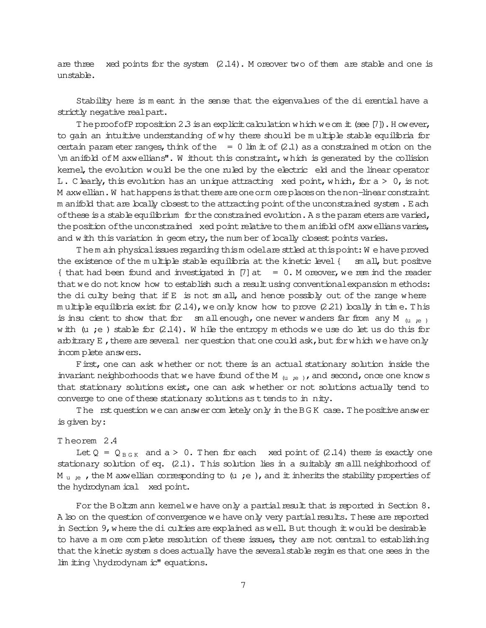are three xed points for the system  $(2.14)$ . M oreover two of them are stable and one is unstable.

Stability here is meant in the sense that the eigenvalues of the dierential have a strictly negative realpart.

The proof of Proposition 2.3 is an explicit calculation w hich we om it (see  $[7]$ ). However, to gain an intuitive understanding of w hy there should be m ultiple stable equilibria for certain param eter ranges, think of the  $= 0$  lim it of (2.1) as a constrained m otion on the \m anifold ofM axwellians". W ithout this constraint,w hich is generated by the collision kernel, the evolution would be the one ruled by the electric eld and the linear operator L. C learly, this evolution has an unique attracting xed point, which, for  $a > 0$ , is not M axwellian. W hat happens is that there are one orm ore places on the non-linear constraint m anifold that are locally closest to the attracting point of the unconstrained system. Each of these is a stable equilibrium for the constrained evolution. A sthe param eters are varied, the position of the unconstrained xed point relative to the m anifold of M axwellians varies, and w ith this variation in geom etry, the num ber of locally closest points varies.

Them ain physical issues regarding thism odelare sttled at this point: We have proved the existence of the multiple stable equilibria at the kinetic level  $\{\text{sm all, but positive}\}$  $\{$  that had been found and investigated in [7] at = 0. M oreover, we rem ind the reader that we do not know how to establish such a result using conventional expansion m ethods: the diculty being that if E is not sm all, and hence possibly out of the range where m ultiple equilibria exist for  $(2.14)$ , we only know how to prove  $(2.21)$  locally in tim e. This is insu cient to show that for sm allenough, one never wanders far from any M  $_{(u, e)}$ w ith  $(u ; e)$  stable for  $(2.14)$ . W hile the entropy m ethods we use do let us do this for arbitrary E, there are several ner question that one could ask, but for which we have only incom plete answers.

First, one can ask w hether or not there is an actual stationary solution inside the invariant neighborhoods that we have found of the M  $_{(u,ie)}$ , and second, once one know s that stationary solutions exist, one can ask w hether or not solutions actually tend to converge to one of these stationary solutions as t tends to in nity.

The rst question we can answer com letely only in the BGK case. The positive answer is given by:

### T heorem 2.4

Let  $Q = Q_{B G K}$  and  $a > 0$ . Then for each xed point of (2.14) there is exactly one stationary solution of eq.  $(2.1)$ . This solution lies in a suitably sm all neighborhood of M u  $_{\rm H}$  ie , the M axwellian corresponding to (u ;e), and it inherits the stability properties of the hydrodynam ical xed point.

For the Boltzm ann kernelwe have only a partial result that is reported in Section 8. A lso on the question of convergence we have only very partial results. These are reported in Section 9, where the diculties are explained as well. But though it would be desirable to have a m ore complete resolution of these issues, they are not central to establishing that the kinetic system s does actually have the several stable regim es that one sees in the lim iting \hydrodynam ic" equations.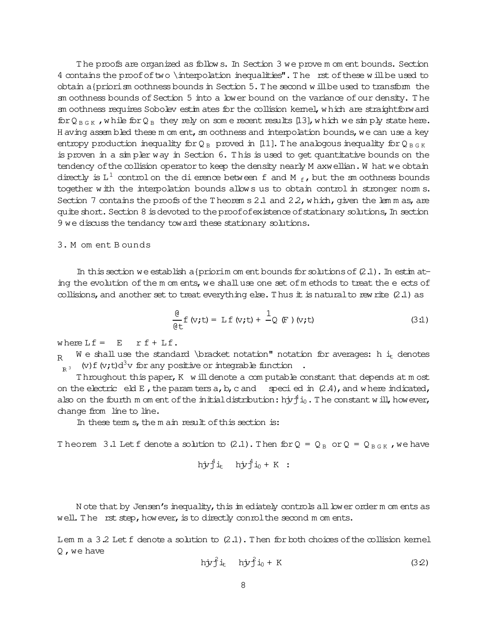T he proofs are organized as follow s. In Section 3 we prove m om ent bounds. Section 4 contains the proof of two \interpolation inequalities". The rst of these will be used to obtain a{priorism oothness bounds in Section  $5$ . The second w illbe used to transform the sm oothness bounds of Section 5 into a lower bound on the variance of our density. The sm oothness requires Sobolev estim ates for the collision kernel, which are straightforward for  $Q_{B G K}$ , while for  $Q_B$  they rely on som e recent results [13], which we sim ply state here. H aving assembled these m om ent, sm oothness and interpolation bounds, we can use a key entropy production inequality for  $Q_B$  proved in [11]. The analogous inequality for  $Q_{B G K}$ is proven in a sim pler way in Section 6. T his is used to get quantitative bounds on the tendency of the collision operator to keep the density nearly M axwellian. W hat we obtain directly is  $L^1$  controlon the dierence between f and M  $_f$  , but the sm oothness bounds together w ith the interpolation bounds allow s us to obtain control in stronger norm s. Section 7 contains the proofs of the T heorem s 2.1 and  $2.2$ , w hich, given the lem m as, are quite short. Section 8 is devoted to the proof of existence of stationary solutions, In section 9 we discuss the tendancy toward these stationary solutions.

## 3. M om ent B ounds

In this section we establish a {priorim om ent bounds for solutions of  $(2.1)$ . In estim ating the evolution of the m om ents, we shall use one set of methods to treat the eects of collisions, and another set to treat everything else. Thus it is natural to rew rite  $(2.1)$  as

$$
\frac{\theta}{\theta t} f (v, t) = L f (v, t) + \frac{1}{Q} (F) (v, t)
$$
 (3.1)

where  $Lf = E \r f + Lf$ .

 $R$  W e shall use the standard \bracket notation" notation for averages: h it denotes  $I_{R<sub>3</sub>}$  (v)f(v;t)d<sup>3</sup>v for any positive or integrable function.

Throughout this paper,  $K$  w ill denote a com putable constant that depends at m ost on the electric eld E, the param ters  $a, b, c$  and specied in  $(2.4)$ , and w here indicated, also on the fourth m om ent of the initial distribution: hj $r^4_1$ io. The constant w ill, however, change from line to line.

In these term s, the m ain result of this section is:

Theorem 3.1 Let f denote a solution to  $(2.1)$ . Then for  $Q = Q_B$  or  $Q = Q_{B G K}$ , we have

$$
h\dot{y}\dot{J}^4\dot{u}_t
$$
  $h\dot{y}\dot{J}^4\dot{u}_0 + K$ :

N ote that by Jensen's inequality, this im ediately controls all low er order m om ents as well. The rst step, however, is to directly conrol the second m om ents.

Lem m a  $3.2$  Let f denote a solution to  $(2.1)$ . Then for both choices of the collision kernel  $Q$ , we have

$$
hy^2 i_t \t hy^2 i_0 + K \t(3.2)
$$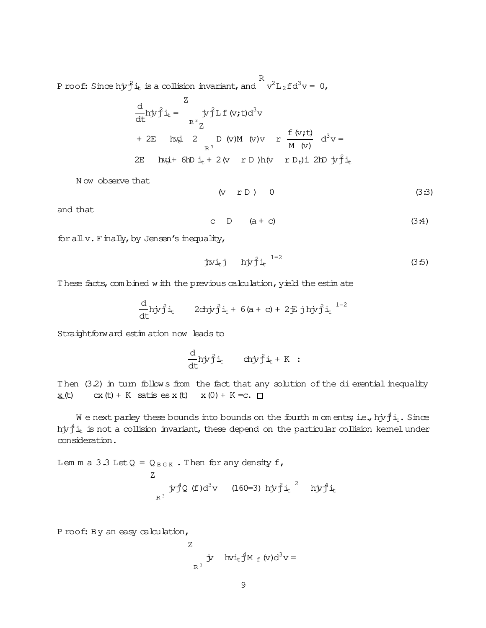P roof: Since hj $\hat{f}$  it is a collision invariant, and R  $v^2L_2fd^3v = 0$ ,

$$
\frac{d}{dt} h j v f i_t = \int_{R^3}^{Z} j v f L f (v, t) d^3 v
$$
  
+ 2E h x i 2 D (v) M (v) v r  $\frac{f (v, t)}{M (v)}$  d<sup>3</sup>v =  
2E h x i + 6h b i + 2 (v r D) h (v r D<sub>t</sub>) i 2h b j t j i<sub>t</sub>

N ow observe that

$$
(v r D) 0 \t(3:3)
$$

and that

$$
C \quad D \quad (a + c) \tag{3.4}
$$

for all  $v$ . Finally, by Jensen's inequality,

$$
\frac{1}{2} \mathbf{w} \mathbf{u} + \mathbf{w} \mathbf{v} \mathbf{v} + \mathbf{w} \mathbf{v} \mathbf{v} + \mathbf{w} \mathbf{v} \tag{3.5}
$$

These facts, com bined w ith the previous calculation, yield the estim ate

$$
\frac{d}{dt}h\dot{y}\dot{f}\dot{i}_{t} \qquad 2ch\dot{y}\dot{f}\dot{i}_{t} + 6(a+c) + 2\ddot{f}j\dot{h}\dot{y}\dot{f}\dot{i}_{t} \qquad ^{1=2}
$$

Straightforward estim ation now leads to

$$
\frac{d}{dt} h j y j \dot{f} i_t \quad ch j y j \dot{f} i_t + K :
$$

Then  $(3.2)$  in turn follows from the fact that any solution of the dierential inequality  $x(t)$  cx(t) + K satis es x(t) x(0) + K =c.  $\Box$ 

W e next parley these bounds into bounds on the fourth m om ents; i.e., hjv $^4$ i $_{\rm t}$ . Since h $\mathrm{i} \mathrm{j} \mathrm{f}$  is not a collision invariant, these depend on the particular collision kernel under consideration.

Lem m a 3.3 Let  $Q = Q_{B G K}$ . Then for any density f, Z  $\mathbb{R}^3$  $\dot{y}^4$ Q (f)d<sup>3</sup>v (160=3) h $\dot{y}^2$ i<sub>t</sub><sup>2</sup> h $\dot{y}^4$ i<sub>t</sub>

P roof: By an easy calculation,

Z  
\n
$$
\dot{y}
$$
 hvi<sub>t</sub>  $\frac{4}{J}M_f(v)d^3v =$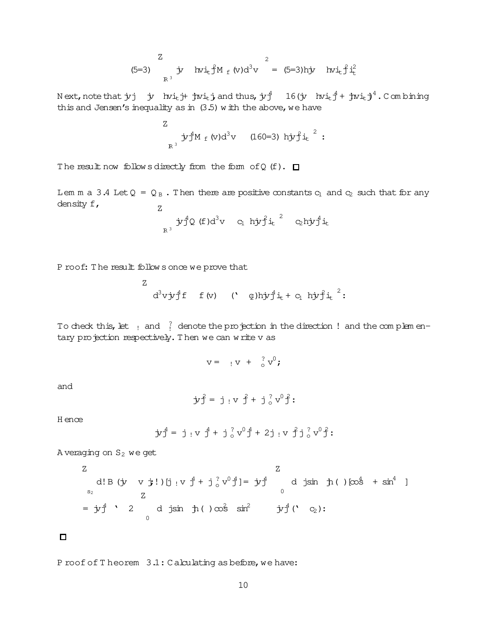Z  
(5=3) 
$$
\frac{z}{R^3}
$$
 iv  $hvi_{t} \hat{f}M_{f}(v)d^{3}v = (5=3)hji$   $hvi_{t} \hat{f}i_{t}^{2}$ 

Next,note that  $\rm{y}$ j  $\rm{y}$  hvi<sub>t</sub> j+  $\rm{j}$ wi<sub>t</sub> j and thus,  $\rm{j}$ vj $\rm{j}^4$  16( $\rm{j}$ v hvi $\rm{y}$ j $\rm{d}^4$ +  $\rm{j}$ wi<sub>t</sub> j $\rm{j}^4$ . Combining this and Jensen's inequality as in  $(3.5)$  w ith the above, we have

Z  
<sub>R<sup>3</sup></sub> 
$$
\dot{y}_1^4 M_f(v) d^3 v
$$
 (160=3)  $h \dot{y}_1^2 \dot{t}_t^2$ :

The result now follow s directly from the form of Q  $(f)$ .  $\Box$ 

Lem m a 3.4 Let  $Q = Q_B$ . Then there are positive constants  $c_1$  and  $c_2$  such that for any density f, Z

$$
\int_{\mathbb{R}^3} \dot{y} \dot{f}^4 Q \text{ (f)} d^3 v \quad c_1 \, h \dot{y} \dot{f} i_t \quad c_2 h \dot{y} \dot{f}^4 i_t
$$

P roof: T he result follow s once we prove that

Z

$$
d^3v\dot y\hskip 0.8pt J^4f\quad f\ (v)\quad \ (\text{ }\quad \hbox{g)}\hbox{h}\dot y\hskip 0.8pt J^4\dot t_t+c_1\hskip 1mm h\dot y\hskip 0.8pt f\dot t_t\hskip 0.8pt^2\colon
$$

To check this, let  $\frac{1}{1}$  and  $\frac{2}{1}$  denote the projection in the direction ! and the complem entary projection respectively. Then we can write v as

$$
v = \quad v + \quad \frac{?}{0} v^0;
$$

and

$$
\dot{y}\, \hat{j} = j \, \text{ or } \hat{j} + j \, \text{ or } \, v^0 \, \hat{j}:
$$

H ence

$$
\dot{y}\, \, \stackrel{4}{J} = \; \dot{J} \, \, \, \, v \, \, \stackrel{4}{J} + \; \dot{J} \, \, \stackrel{?}{\circ} \, v^0 \, \stackrel{4}{J} + \; 2 \, \dot{J} \, \, \, v \, \, \stackrel{9}{J} \, \dot{J} \, \, \stackrel{?}{\circ} \, v^0 \, \stackrel{2}{J}:
$$

A veraging on  $S_2$  we get

Z  
\nd! B (y v j!) [j 
$$
v \frac{4}{J} + j \frac{2}{3}v^0 \frac{4}{J} = jv \frac{4}{J}
$$
 d jsin  $\frac{1}{J}$  ( ) [cos<sup>4</sup> + sin<sup>4</sup> ]  
\nZ  
\n= jy<sup>4</sup>/<sub>3</sub> 2 d jsin  $\frac{1}{J}$  ( ) cos<sup>2</sup> sin<sup>2</sup> jy<sup>4</sup>/<sub>3</sub> ( )  
\n= jy<sup>4</sup>/<sub>3</sub> 2 d jsin  $\frac{1}{J}$  ( ) cos<sup>2</sup> sin<sup>2</sup> jy<sup>4</sup>/<sub>3</sub> ( )  
\n= jy<sup>4</sup>/<sub>3</sub> 2 d jsin  $\frac{1}{J}$  ( ) cos<sup>2</sup> sin<sup>2</sup> jy<sup>4</sup>/<sub>3</sub> ( )

 $\Box$ 

P roof of T heorem  $3.1:$  C alculating as before, we have: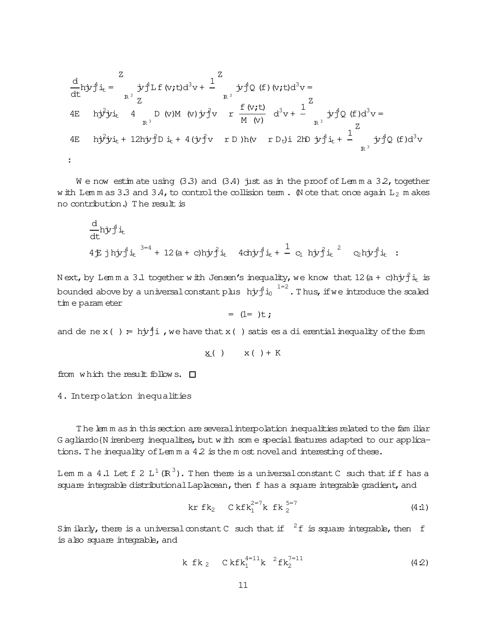$$
\frac{d}{dt} h \dot{y} \dot{y}^{4} \dot{1}_{t} = \int_{R^{3}}^{Z} \dot{y}^{4} L f (v, t) d^{3} v + \frac{1}{R^{3}} \dot{y} \dot{y}^{4} Q (f) (v, t) d^{3} v =
$$
\n4E  $h \dot{y}^{2} \dot{y} \dot{1}_{t} + 4 \int_{R^{3}}^{D} U(M(V) \dot{y}^{2} v) r \frac{f (v, t)}{M(V)} d^{3} v + \frac{1}{R^{3}} \dot{y} \dot{y}^{4} Q (f) d^{3} v =$ \n4E  $h \dot{y}^{2} \dot{y} \dot{1}_{t} + 12 h \dot{y} \dot{y}^{2} D \dot{1}_{t} + 4 (\dot{y} \dot{y}^{2} v) r D) h (v r D_{t}) i 2 h D \dot{y} \dot{1} \dot{1}_{t} + \frac{1}{R^{3}} \dot{y} \dot{1}^{4} Q (f) d^{3} v =$ \n
$$
\vdots
$$

We now estimate using (3.3) and (3.4) just as in the proof of Lemma 3.2, together w ith Lemmas 3.3 and 3.4, to control the collision term. Note that once again  $L_2$  makes no contribution.) The result is

$$
\frac{d}{dt} h j v_j^4 i_t
$$
\n4E j h j v j^4 i\_t <sup>3=4</sup> + 12 (a + c) h j v j^4 i\_t 4d n j v j^4 i\_t + <sup>1</sup> c<sub>1</sub> h j v j^4 i\_t <sup>2</sup> c<sub>2</sub> h j v j^4 i\_t :

Next, by Lemma 3.1 together with Jensen's inequality, we know that  $12(a + c)$ hj $r_1^2$ it is bounded above by a universal constant plus  $hyf_{i_0}^{q}$   $\frac{1}{1-z}$ . Thus, if we introduce the scaled tim e param eter

$$
= (1= )t;
$$

and de ne x() =  $h\dot{y}\dot{\uparrow}i$ , we have that x() satis es a di erential inequality of the form

$$
\underline{x}(\ )\qquad x\ (\ )+K
$$

from which the result follows.  $\square$ 

4. Interpolation inequalities

The lemm as in this section are several interpolation inequalities related to the familiar G agliardo {N irenberg inequalites, but with some special features adapted to our applications. The inequality of Lemma  $4.2$  is the most novel and interesting of these.

Lem m a 4.1 Let  $f \nvert 2 L^1(\mathbb{R}^3)$ . Then there is a universal constant C such that if f has a square integrable distributional Laplacean, then f has a square integrable gradient, and

Sim ilarly, there is a universal constant C such that if  $2f$  is square integrable, then f is also square integrable, and

$$
k f k_2 C k f k_1^{4=11} k^{2} f k_2^{7=11}
$$
 (4.2)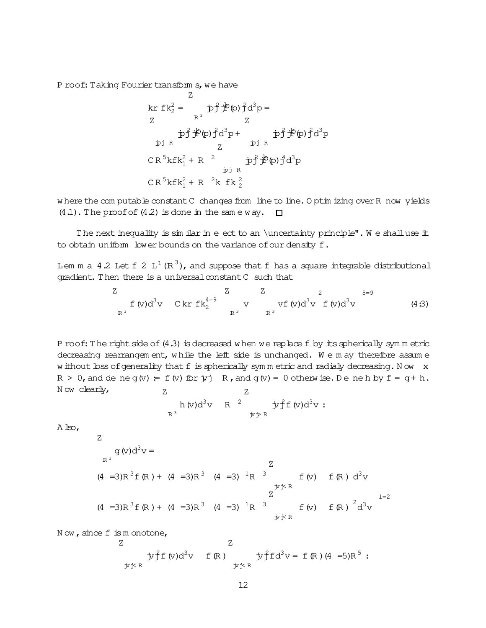P roof: Taking Fourier transform s, we have

z  
\nkr 
$$
fk_2^2 = pf \nleftrightarrow p \hat{f} \hat{f}(\rho) \hat{f} d^3 p =
$$
  
\nz  
\n $pf \hat{f} \hat{f}(\rho) \hat{f} d^3 p + pf \hat{f} \hat{f}(\rho) \hat{f} d^3 p$   
\n $z$   
\n $CR^5 kfk_1^2 + R^2$   
\n $pf \hat{f} \hat{f}(\rho) \hat{f} d^3 p$   
\n $CR^5 kfk_1^2 + R^2 k fk_2^2$ 

w here the com putable constant C changes from line to line. O ptim izing over R now yields  $(4.1)$ . The proof of  $(4.2)$  is done in the same way.  $\Box$ 

The next inequality is sim ilar in e ect to an \uncertainty principle". We shall use it to obtain uniform lower bounds on the variance of our density f.

Lem m a 4.2 Let f 2 L $^{1}$  (R $^{3}$ ), and suppose that f has a square integrable distributional gradient. Then there is a universal constant C such that

Z  
\n
$$
\frac{Z}{R^3}
$$
  $\frac{Z}{V}$   $\frac{Z}{V}$   $\frac{Z}{V}$   $\frac{Z}{V}$   $\frac{5=9}{5=9}$   $(4.3)$ 

P roof: The right side of  $(4.3)$  is decreased w hen we replace f by its spherically symm etric decreasing rearrangem ent, while the left side is unchanged. We m ay therefore assume w ithout loss of generality that f is spherically sym m etric and radialy decreasing. Now x  $R > 0$ , and de ne g(v) = f(v) for  $\dot{\gamma}$  R, and g(v) = 0 otherw ise. De ne h by  $f = g + h$ . N ow clearly,  $Z$ 7

$$
\begin{array}{cccc}\nh \text{ (v)}d^3v & R & ^2 & \dot{y}f f \text{ (v)}d^3v : \\
R^3 & & & \dot{y} \dot{y}R\n\end{array}
$$

A lso,

 $\overline{z}$ 

$$
q(v)d^{3}v = \n\begin{array}{ccc}\n & \text{if } (v) \text{ if } (R) \text{ if } (R) \text{ if } (R) \text{ if } (R) \text{ if } (R) \text{ if } (R) \text{ if } (R) \text{ if } (R) \text{ if } (R) \text{ if } (R) \text{ if } (R) \text{ if } (R) \text{ if } (R) \text{ if } (R) \text{ if } (R) \text{ if } (R) \text{ if } (R) \text{ if } (R) \text{ if } (R) \text{ if } (R) \text{ if } (R) \text{ if } (R) \text{ if } (R) \text{ if } (R) \text{ if } (R) \text{ if } (R) \text{ if } (R) \text{ if } (R) \text{ if } (R) \text{ if } (R) \text{ if } (R) \text{ if } (R) \text{ if } (R) \text{ if } (R) \text{ if } (R) \text{ if } (R) \text{ if } (R) \text{ if } (R) \text{ if } (R) \text{ if } (R) \text{ if } (R) \text{ if } (R) \text{ if } (R) \text{ if } (R) \text{ if } (R) \text{ if } (R) \text{ if } (R) \text{ if } (R) \text{ if } (R) \text{ if } (R) \text{ if } (R) \text{ if } (R) \text{ if } (R) \text{ if } (R) \text{ if } (R) \text{ if } (R) \text{ if } (R) \text{ if } (R) \text{ if } (R) \text{ if } (R) \text{ if } (R) \text{ if } (R) \text{ if } (R) \text{ if } (R) \text{ if } (R) \text{ if } (R) \text{ if } (R) \text{ if } (R) \text{ if } (R) \text{ if } (R) \text{ if } (R) \text{ if } (R) \text{ if } (R) \text{ if } (R) \text{ if } (R) \text{ if } (R) \text{ if } (R) \text{ if } (R) \text{ if } (R) \text{ if } (R) \text{ if } (R) \text{ if } (R) \text{ if } (R) \text{ if } (R) \text{ if } (R) \text{ if } (R) \text{ if } (R) \text{ if } (R) \text{ if } (R) \text{ if } (R) \text{ if } (R) \text{ if
$$

Now, since f is m onotone,

Z  
\n
$$
\dot{y}^2 f(v) d^3 v
$$
 f (R)  $\dot{y}^2 f d^3 v = f (R) (4 =5)R^5$ :  
\n $\dot{y} \dot{y} R$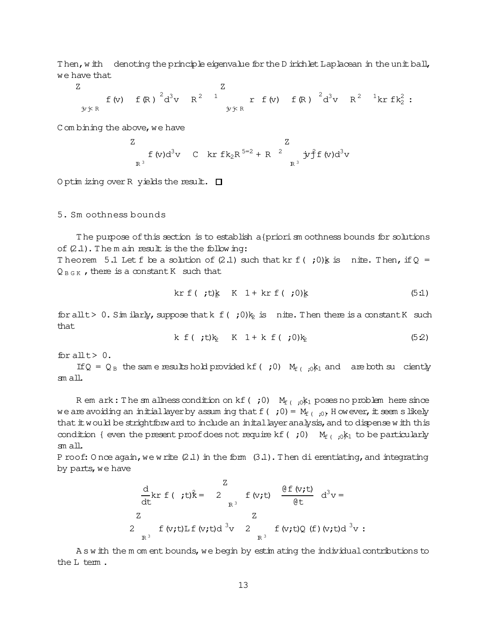Then, w ith denoting the principle eigenvalue for the D irichlet Laplacean in the unit ball, we have that

Z jvj< R f(v)  $f(R)$   $^{2}d^{3}v$   $R^{2}$ <sup>1</sup> Z jvj< R  $r f (v) f (R) \frac{2}{d^3} v R^2 \frac{1}{kr} f k_2^2$ :

C om bining the above, we have

Z  
\n
$$
f (v) d^3 v
$$
 C kr f k<sub>2</sub>R<sup>5=2</sup> + R<sup>2</sup> jy f (v)d<sup>3</sup>v  
\nR<sup>3</sup>

O ptim izing over R yields the result.  $\square$ 

### 5. Sm oothness bounds

The purpose of this section is to establish a{priorism oothness bounds for solutions of  $(2.1)$ . The m ain result is the the following: Theorem 5.1 Let f be a solution of (2.1) such that kr f ( ; 0) k is nite. Then, if Q =  $Q_{B G K}$ , there is a constant K such that

$$
\text{kr } f \left( \begin{array}{ll} t \\ t \end{array} \right) \underline{k} \quad K \quad 1 + \text{kr } f \left( \begin{array}{ll} t \\ t \end{array} \right) \underline{k} \tag{5.1}
$$

for allt > 0. Sim ilarly, suppose that  $k \in \{1, 20\}$  is nite. Then there is a constant K such that

$$
k f ( ;t)k_2 K 1 + k f ( ;0)k_2
$$
 (52)

for allt> 0.

If Q =  $Q_B$  the same results hold provided kf( ;0)  $M_{f($  ;0 $k_1$  and are both su ciently sm all.

R em ark: The sm allness condition on kf( ;0)  $M_{f($ ,  $i,K_1$  poses no problem here since we are avoiding an initial layer by assuming that f( ; 0) =  $M_{f($  ;0). H owever, it seem slikely that  $\pm$  would be strightforward to include an inital layer analysis, and to dispense w ith this condition { even the present proof does not require kf( ;0)  $M_{f($  ;0k<sub>1</sub> to be particularly sm all.

P roof: O nce again, we write  $(2.1)$  in the form  $(3.1)$ . Then dierentiating, and integrating by parts, we have

$$
\frac{d}{dt}kr f (t) \hat{k} = 2 \int_{R^3}^{Z} f (v, t) \frac{\theta f (v, t)}{\theta t} d^3 v =
$$
\n
$$
Z = Z
$$
\n
$$
2 \int_{R^3} f (v, t) L f (v, t) d^3 v = 2 \int_{R^3}^{Z} f (v, t) Q (f) (v, t) d^3 v =
$$

A s w ith the m om ent bounds, we begin by estim ating the individual contributions to the L term.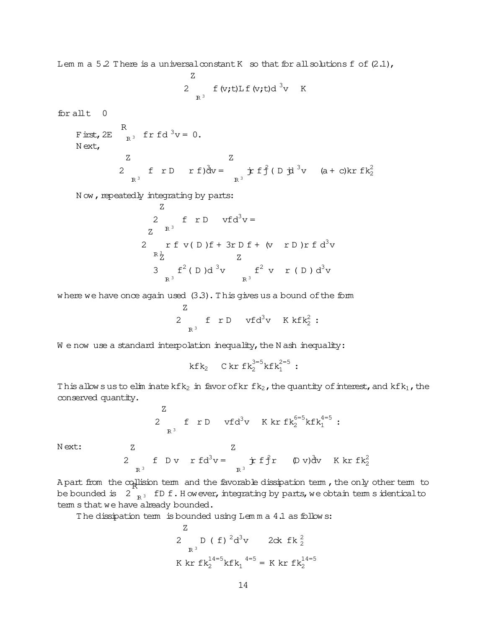Lem m a 5.2 There is a universal constant K so that for all solutions f of  $(2.1)$ ,

$$
\begin{array}{ll}\nZ \\
2 & f (v, t) \text{L} f (v, t) d^{3}v \\
\text{R}^{3}\n\end{array}
$$

for allt 0

First,2E R  $F_{R^3}$  fr fd  $v = 0$ . N ext, 2 Z  $R^3$ f  $r D$   $r f) \frac{\partial}{\partial v} =$ Z  $R^3$  $\dot{\textbf{r}}$  f  $\hat{\textbf{f}}$  ( D  $\dot{\textbf{p}}$  <sup>3</sup> v (a + c)kr f k<sub>2</sub><sup>2</sup>

N ow, repeatedly integrating by parts:

Z  
\n
$$
z^{R^{3}}
$$
\n
$$
z^{R^{3}}
$$
\n
$$
z^{R^{3}}
$$
\n
$$
z^{R^{3}}
$$
\n
$$
z^{R^{3}}
$$
\n
$$
z^{R^{3}}
$$
\n
$$
z^{R^{3}}
$$
\n
$$
z^{R^{3}}
$$
\n
$$
z^{R^{3}}
$$
\n
$$
R^{3}
$$
\n
$$
R^{3}
$$
\n
$$
R^{3}
$$

w here we have once again used (3.3). This gives us a bound of the form

$$
\begin{array}{ccc}\nZ & & \\
2 & f & r D & vfd^3v & K k f k_2^2 : \\
\end{array}
$$

 $W$  e now use a standard interpolation inequality, the N ash inequality:

$$
k f k_2 \quad C k r f k_2^{3=5} k f k_1^{2=5}:
$$

This allow susto elim inate kfk<sub>2</sub> in favor of kr fk<sub>2</sub>, the quantity of interest, and kfk<sub>1</sub>, the conserved quantity.

2 Z IR <sup>3</sup> f r D vfd <sup>3</sup>v K kr fk 6=5 <sup>2</sup> kfk 4=5 <sup>1</sup> : Z

N ext:

Z

2 f D v r f d<sup>3</sup>v = 
$$
\dot{r}
$$
 f f r (D v) d v K kr f k<sup>2</sup>

be bounded is  $\|2\|_{\mathbb{R}^3}$  fD f. However, integrating by parts, we obtain term sidentical to term s that we have already bounded.

The dissipation term is bounded using Lem m a 4.1 as follows:

Z  
\n2 D ( f) 
$$
{}^{2}d^{3}v
$$
 2ck fk<sup>2</sup><sub>2</sub>  
\nR<sup>3</sup>  
\nK kr fk<sup>14=5</sup><sub>2</sub>kfk<sub>1</sub><sup>4=5</sup> = K kr fk<sup>14=5</sup><sub>2</sub>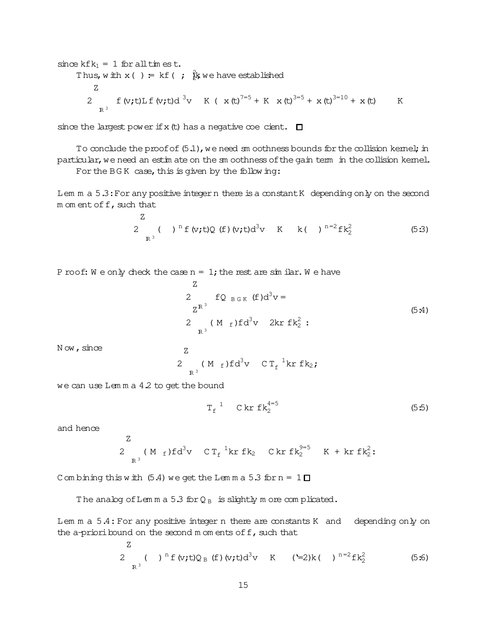since 
$$
kfk_1 = 1
$$
 for all  $tm$  es.t.  
\nThus,  $w$   $tm$  x() :=  $kf$  ( ;  $k/k$  we have established  
\n $Z$   
\n $2 \int_{R^3} f(v; t) L f(v; t) d<sup>3</sup>v K ( x(t)<sup>7=5</sup> + K x(t)<sup>3=5</sup> + x(t)<sup>3=10</sup> + x(t) K$ 

since the largest power if x (t) has a negative coecient.  $\square$ 

To conclude the proof of  $(5.1)$ , we need sm oothness bounds for the collision kernel; in particular, we need an estim ate on the sm oothness of the gain term in the collision kernel.

For the BGK case, this is given by the following:

Lem  $m a 5.3:$  For any positive integern there is a constant K depending only on the second  $m$  om ent of  $f$ , such that

2 IR <sup>3</sup> ( )<sup>n</sup> f(v;t)Q (f)(v;t)d<sup>3</sup>v K k( )n=<sup>2</sup>fk 2 <sup>2</sup> (5:3)

P roof: W e only check the case  $n = 1$ ; the rest are similar. W e have

Z

Z  
\n
$$
2 \t L_{B G K} (f) d^{3}v =
$$
  
\n $Z^{R^{3}}$   
\n $2 \t (M_{f}) f d^{3}v$  2kr  $f k_{2}^{2}$ :  
\n(5:4)

Now, since

$$
2 \t R3 (Mf)fd3v C Tf1kr fk2;
$$

we can use Lem m a 4.2 to get the bound

 $\overline{z}$ 

Z

$$
T_f^1 \quad C \, kr \, f k_2^{4=5} \tag{5.5}
$$

and hence

$$
\begin{array}{cccc}\n & 2 & \text{(M f)fd}^3 \text{V} & C \, \text{T}_f^{-1} \text{kr f} \text{k}_2 & C \, \text{kr f} \text{k}_2^{9=5} & K + \text{kr f} \text{k}_2^2 \text{;} \\
\text{R}^3 & & & & \\
\end{array}
$$

C om bining this with  $(5.4)$  we get the Lem m a  $5.3$  for  $n = 1$   $\Box$ 

The analog of Lem m a 5.3 for  $Q_B$  is slightly m ore complicated.

Lem m a 5.4: For any positive integer n there are constants K and depending only on the a-prioribound on the second  $m$  om ents of  $f$ , such that

2 Z IR <sup>3</sup> ( )<sup>n</sup> f(v;t)Q <sup>B</sup> (f)(v;t)d<sup>3</sup>v K ('=2)k( )n=<sup>2</sup>fk 2 <sup>2</sup> (5:6)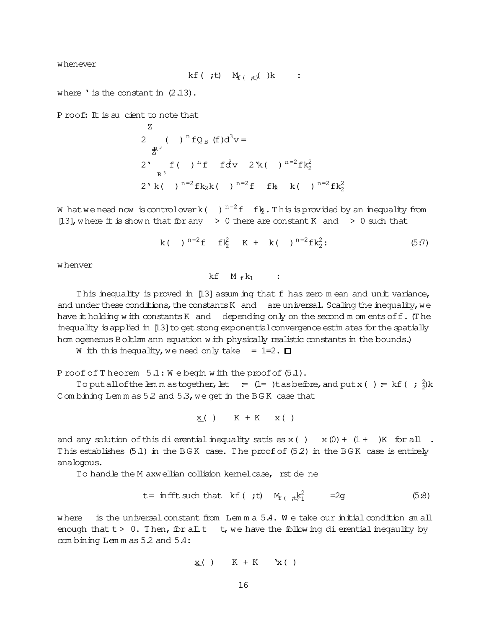whenever

$$
kf(\cdot;t) \quad M_{f(\cdot;t)}(\cdot) \& \quad : \quad
$$

where ' is the constant in  $(2.13)$ .

P roof: It is su cient to note that

 $Z_{\rm c}$ 

2 ( )<sup>n</sup>fQ<sub>B</sub> (f)d<sup>3</sup>v =  
\n
$$
\sum_{R^3}^{R^3}
$$
 f ( )<sup>n</sup>f f d<sup>3</sup>v 2 k ( )<sup>n=2</sup>fk<sub>2</sub><sup>2</sup>  
\n2 k ( )<sup>n=2</sup>fk<sub>2</sub>k ( )<sup>n=2</sup>f f(k<sub>2</sub><sup>2</sup> k ( )<sup>n=2</sup>fk<sub>2</sub><sup>2</sup>

W hat we need now is controlover k()  $n=2$  f fk, This is provided by an inequality from [13], where it is shown that for any  $\geq 0$  there are constant K and  $\geq 0$  such that

$$
k( )^{n=2}f \t f2/2 K + k( )^{n=2}f2/2
$$
 (5:7)

w henver

 $kf$   $M_f k_1$  :

This inequality is proved in [13] assum ing that f has zero mean and unit variance, and under these conditions, the constants K and are universal. Scaling the inequality, we have it holding with constants K and depending only on the second m om ents of f. (The inequality is applied in [13] to get stong exponential convergence estimates for the spatially hom ogeneous B oltlzm ann equation with physically realistic constants in the bounds.)

W ith this inequality, we need only take =  $1=2.$   $\Box$ 

Proof of Theorem 5.1: We begin with the proof of (5.1).

To put all of the lem m as together, let =  $(1=$  )tas before, and put x() = kf(;  $\frac{2}{3}$ k Combining Lemmas 5.2 and 5.3, we get in the BGK case that

$$
\underline{x}(\ )\qquad K\ +\ K\quad x\ (\ )
$$

and any solution of this dierential inequality satises  $x( ) x( 0 ) + (1 + )K$  for all. This establishes  $(5.1)$  in the BGK case. The proof of  $(5.2)$  in the BGK case is entirely analogous.

To handle the M axwellian collision kemel case, rst de ne

$$
t = \inf f t \text{ such that } kf(\mathbf{r}, t) \quad M_{f(\mathbf{r}, t)} k_1^2 = 2g \tag{5.8}
$$

where is the universal constant from Lemma  $5.4$ . We take our initial condition small enough that  $t > 0$ . Then, for all  $t - t$ , we have the following dievential inequality by combining Lemmas 5.2 and 5.4:

$$
\underline{x}(\ )\qquad K+K\quad Yx(\ )
$$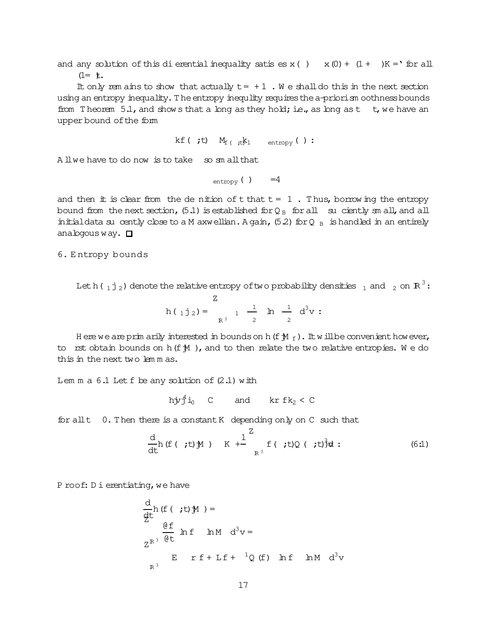and any solution of this di erential inequality satis es x ()  $x(0) + (1+)K = '$  for all  $(1=$  **t**.

It only rem ains to show that actually  $t = +1$ . We shall do this in the next section using an entropy inequality. The entropy inequlity requires the a-priori sm oothness bounds from Theorem 5.1, and shows that a long as they hold; i.e., as long as t t, we have an upper bound of the form

kf (;t)  $M_f$  (;t)  $k_1$  entropy ():

A llwe have to do now is to take so small that

 $_{\text{entropy}}$  ( )  $=4$ 

and then  $#$  is clear from the de nition of  $#$  that  $# = 1$ . Thus, borrowing the entropy bound from the next section, (5.1) is established for  $Q_B$  for all su ciently sm all, and all initial data su cently close to a M axwellian. A gain,  $(5.2)$  for Q  $_B$  is handled in an entirely analogous way.  $\Box$ 

6. Entropy bounds

Let h( $_1$ j<sub>2</sub>) denote the relative entropy of two probability densities  $_1$  and  $_2$  on R<sup>3</sup>:  $h(1j_2) = \frac{Z}{R^3}$  1  $\frac{1}{2}$   $h \frac{1}{2} d^3 v$ :

H ere we are prim arily interested in bounds on h (f  $M_f$ ). It will be convenient however, to rst obtain bounds on  $h(f M)$ , and to then relate the two relative entropies. We do this in the next two lemmas.

Lem m a  $6.1$  Let f be any solution of  $(2.1)$  with

$$
h\dot{y}\ddot{1}i_0
$$
 C and  $kr\ fk_2 < C$ 

0. Then there is a constant K depending only on C such that for all t

$$
\frac{d}{dt}h(f(t, t)M) + \frac{1}{k^{3}} f(t, t)Q(t, t)^{3}dt:
$$
\n(6.1)

Proof: Dierentiating, we have

$$
\frac{d}{dt}h(f(t; t)M) =
$$
\n
$$
\frac{df}{dt}hf \ln M d^{3}v =
$$
\n
$$
Z^{R^{3}} \frac{dt}{dt}h f + Lf + {}^{1}Q(f) h f \ln M d^{3}v
$$
\n
$$
R^{3}
$$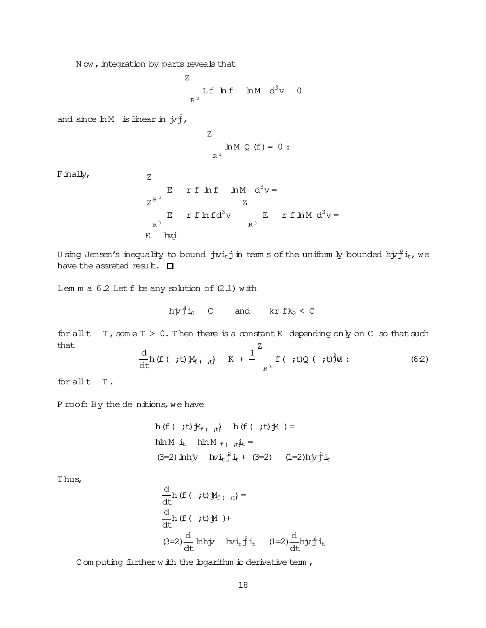N ow, integration by parts reveals that

Z  $R^3$ Lf  $\ln f$   $\ln M$   $d^3v$  0

and since  $ln M$  is linear in  $j\tau f$ ,

$$
\begin{array}{c}\nZ \\
\text{Im } M \ Q \ (f) = 0 : \\
\end{array}
$$

 $F$  inally,  $Z$ 

$$
E \quad \text{r f} \quad \text{ln} M \quad d^{3}v =
$$
\n
$$
Z^{R^{3}}
$$
\n
$$
E \quad \text{r f} \quad \text{ln} f d^{3}v =
$$
\n
$$
R^{3}
$$
\n
$$
E \quad \text{ln} f d^{3}v =
$$
\n
$$
R^{3}
$$

U sing Jensen's inequality to bound  $\,$  jwi $_{\rm t}$ j in term s of the uniform ly bounded hj $r\hat{\bf j}$  i $_{\rm t}$ , we have the assreted result.  $\Box$ 

Lem  $m a 6.2$  Let  $f$  be any solution of  $(2.1)$  with

$$
h\dot{y}\dot{y}^4\dot{1}_0
$$
 C and  $kr\ fk_2 < C$ 

for allt  $T$ , som e  $T > 0$ . Then there is a constant K depending only on C so that such that d 1 Z

$$
\frac{d}{dt}h(f(t, t))\mathcal{Y}_{f(t, t)} + \frac{1}{K} \int_{R^3}^L f(t, t)Q(t, t)^3 dt
$$
 (6.2)

for allt T.

P roof: By the de nitions, we have

h (f ( ;t) 
$$
\mathcal{M}_f
$$
 ,  $\mathcal{H}_f$ ) h (f ( ;t)  $\mathcal{M}$  ) =  
hln M i<sub>t</sub> hln M  $f$  ,  $\mathcal{H}_f$  =  
(3=2) hhiy hvi<sub>t</sub>  $\hat{f}$  i<sub>t</sub> + (3=2) (1=2)hj*y*  $\hat{f}$  i<sub>t</sub>

T hus,

$$
\frac{d}{dt}h(f(t, t) \mathcal{M}_{f(t, t)}) =
$$
\n
$$
\frac{d}{dt}h(f(t, t) \mathcal{M}) +
$$
\n
$$
(3=2)\frac{d}{dt}h\dot{h}\dot{y} + h\dot{v}\dot{t}\dot{f}\dot{u}\dot{t} + (1=2)\frac{d}{dt}h\dot{y}\dot{f}\dot{u}\dot{t}
$$

C om puting further w ith the logarithm ic derivative term,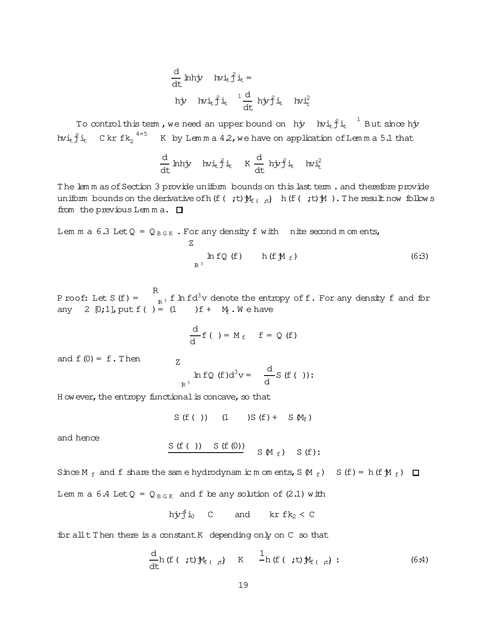$$
\frac{d}{dt} \text{ hhyr} \text{ hvi}_{t} \hat{f} i_{t} =
$$
\n
$$
\text{hyr} \text{ hvi}_{t} \hat{f} i_{t} \frac{1}{dt} \text{ hyf} i_{t} \text{ hvi}_{t}^{2}
$$

To controlthistem, we need an upper bound on  $h$ jv  $h$ vi $_{\rm t}$ j $_{\rm t}$   $^{-1}$  But since hjv hvi $_{\text{t}}$ j́it  $_{\text{c}}$  C kr fk $_{\text{2}}$   $^{4=5}$  K by Lemma 42, we have on application of Lemma 5.1 that

$$
\frac{d}{dt}\text{ hhyr}\quad\text{hvi}_{t}\text{f}i_{t}\quad\text{K}\;\frac{d}{dt}\;\text{ hj}\text{r}\text{f}i_{t}\quad\text{hvi}_{t}^{2}
$$

The lem m as of Section 3 provide uniform bounds on this last term. and therefore provide uniform bounds on the derivative of h(f( ;t) $\mathcal{M}_{f(+,t)}$  h(f( ;t) $\mathcal{M}$ ). The result now follow s from the previous Lemma.  $\square$ 

Lem m a 6.3 Let 
$$
Q = Q_{B \text{G K}}
$$
. For any density f with nite second m om ents,  
\n
$$
Z
$$
\n
$$
h f Q (f) \qquad h (f M_f)
$$
\n(6.3)

P roof: Let  $S(f) =$ R  $\int_{\mathbb{R}^3}$  f lnfd $^3$ v denote the entropy off. For any density f and for any 2  $[0;1]$ , put  $f( ) = (1)$   $f + M_f$ . We have

$$
\frac{\mathrm{d}}{\mathrm{d}} f\left(\phantom{x}\right) = M_f \quad f = Q(f)
$$

and  $f(0) = f \cdot Then$  z

$$
\ln f Q(f) d^{3}v = \frac{d}{d} S(f(f)):
$$

H owever, the entropy functional is concave, so that

S( $f( )$ ) (1 )S( $f$ ) + S( $M_f$ )

and hence

$$
\begin{array}{ccccc}\nS(f()) & S(f(0)) & & S(f): \\
S(f(0)) & & S(f(0)) & & S(f): \\
\end{array}
$$

Since M  $_f$  and f share the same hydrodynam ic m om ents, S  $(M_f)$  S (f) = h(f $M_f$ )  $\Box$ 

Lem m a 6.4 Let  $Q = Q_{B G K}$  and f be any solution of (2.1) with

$$
h\dot{y}\dot{f}^{4}i_{0} \quad C \quad \text{and} \quad kr f k_{2} < C
$$

for allt Then there is a constant K depending only on C so that

$$
\frac{\mathrm{d}}{\mathrm{d}t}h\left(\text{f}(t,t)\mathbf{M}_{\text{f}(t,t)}\right) \quad \text{K} \quad \frac{1}{h}\left(\text{f}(t,t)\mathbf{M}_{\text{f}(t,t)}\right): \tag{6.4}
$$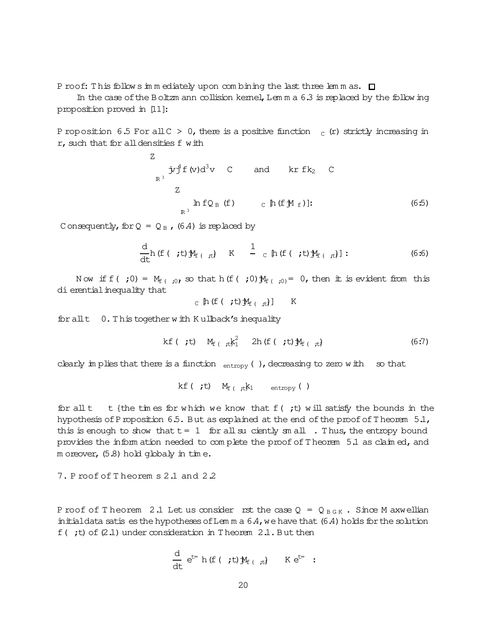P roof: This follows im m ediately upon combining the last three lemmas.  $\Box$ 

In the case of the Boltzm ann collision kernel, Lem  $m a 6.3$  is replaced by the follow ing proposition proved in [11]:

P roposition 6.5 For all C > 0, there is a positive function  $C_c$  (r) strictly increasing in  $r$ , such that for all densities  $f$  with

Z  
\n
$$
x^{3} \dot{y}^{4} f(v) d^{3} v \quad C \quad \text{and} \quad kr f k_{2} \quad C
$$
\nZ  
\n
$$
h f Q_{B} (f) \quad c \left[ h (f M_{f}) \right]: \quad (6.5)
$$

C onsequently, for  $Q = Q_B$ , (6.4) is replaced by

$$
\frac{d}{dt}h(f(t, t) \mathcal{M}_{f(t, t)} \qquad K \qquad \frac{1}{c} h(f(t, t) \mathcal{M}_{f(t, t)}): \qquad (6.6)
$$

N ow if  $f(\cdot;0) = M_{f(\cdot;0)}$  so that h( $f(\cdot;0)$ ) $M_{f(\cdot;0)} = 0$ , then it is evident from this di erential inequality that

c 
$$
\[ \ln \left( \text{f}(\mathbf{t}, t) \mathbb{M}_{\text{f}}(\mathbf{t}, t) \right] \]
$$
 K

for allt 0.T his together w ith K ullback's inequality

$$
kf ( ;t) \quad M_{f ( ;t)} \xi_1^2 \quad 2h (f ( ;t) \mathcal{M}_{f ( ;t)} \qquad (6:7)
$$

clearly im plies that there is a function  $_{entropy}$  (), decreasing to zero with so that

kf (  $\dot{t}$ )  $M_f$  (  $\dot{t}$ k<sub>1</sub> entropy ( )

for all t t {the times for w hich we know that  $f(t)$ ; will satisfy the bounds in the hypothesis of Proposition 6.5. But as explained at the end of the proof of Theorem  $5.1$ , this is enough to show that  $t = 1$  for all suciently sm all . Thus, the entropy bound provides the inform ation needed to com plete the proof of T heorem 5.1 as claim ed, and m oreover, (5.8) hold globaly in time.

# 7. P roof of T heorem s 2.1 and 2.2

P roof of T heorem 2.1 Let us consider rst the case  $Q = Q_{B G K}$ . Since M axwellian in it indicata satis es the hypotheses of Lemma  $6.4$ , we have that  $(6.4)$  holds for the solution f( ;t) of  $(2.1)$  under consideration in T heorem 2.1. But then

d dt e t=h(f( ;t)jMf( ;t)) K et= :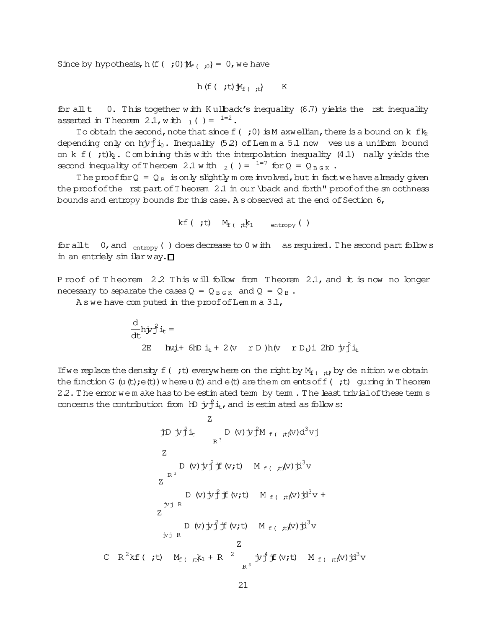Since by hypothesis, h(f( ;0) $\mathcal{M}_{f($  ;0)</sub> = 0, we have

$$
h(f(\mathbf{f},t))\mathbf{M}_{f(\mathbf{f},t)}) \qquad K
$$

for all  $t = 0$ . This together with K ullback's inequality (6.7) yields the rst inequality asserted in T heorem 2.1, with  $_1$  ( ) =  $^{1=2}$ .

To obtain the second, note that since  $f($ ; 0) is M axwellian, there is a bound on k  $f_{k2}$ depending only on hjv $\mathring{f}$ i $_0$ . Inequality (5.2) of Lemma 5.1 now ves us a uniform bound on k  $f$  ( ;t) $k_2$ . Combining this with the interpolation inequality (4.1) nally yields the second inequality of Theroem 2.1 with  $_2$  ( ) =  $1\frac{1}{7}$  for Q = Q  $_{B G K}$ .

The proof for  $Q = Q_B$  is only slightly m ore involved, but in fact we have already given the proof of the  $rst$  part of Theorem 2.1 in our \back and forth" proof of the sm oothness bounds and entropy bounds for this case. A s observed at the end of Section 6,

```
kf( ;t) M_f<sub>( it</sub>k<sub>1</sub> entropy( )
```
for all  $t = 0$ , and  $_{entropy}$  () does decrease to 0 w ith as required. The second part follow s in an entriely similar way.  $\square$ 

P roof of T heorem 2.2 This will follow from T heorem 2.1, and it is now no longer necessary to separate the cases  $Q = Q_{B \ G K}$  and  $Q = Q_{B}$ .

A s we have computed in the proof of Lemma  $3.1$ ,

 $\mathsf C$ 

$$
\frac{d}{dt} h \dot{y} \dot{f} i_t =
$$
\n
$$
2E \quad h \ddot{y} + 6h \dot{y} + 2(v \quad r \, D) h(v \quad r \, D_t) i \, 2h \, \dot{y} \dot{f} i_t
$$

If we replace the density  $f(t, t)$  everyw here on the right by  $M_{f(t, t)}$  by denition we obtain the function G (u (t);  $e(t)$ ) w here u (t) and  $e(t)$  are them om ents of f (; t) guring in T heorem 22. The errorwe m ake has to be estim ated term by term. The least trivial of these term s concerns the contribution from  $h$   $\dot{y}^2$   $i_t$ , and is estim ated as follows:

Z  
\n
$$
\frac{Z}{R^3}
$$
\n
$$
D (v) \dot{y} \dot{f} M_{f(\dot{t},t)}(v) d^3 v j
$$
\nZ  
\n
$$
D (v) \dot{y} \dot{f} \dot{f} (v; t) M_{f(\dot{t},t)}(v) \dot{y}^3 v
$$
\n
$$
Z
$$
\n
$$
D (v) \dot{y} \dot{f} \dot{f} (v; t) M_{f(\dot{t},t)}(v) \dot{y}^3 v +
$$
\n
$$
Z
$$
\n
$$
D (v) \dot{y} \dot{f} \dot{f} (v; t) M_{f(\dot{t},t)}(v) \dot{y}^3 v
$$
\n
$$
Z
$$
\n
$$
D (v) \dot{y} \dot{f} \dot{f} (v; t) M_{f(\dot{t},t)}(v) \dot{y}^3 v
$$
\n
$$
Z
$$
\n
$$
R^2 k f(\dot{t}, t) M_{f(\dot{t},t)} k_1 + R^2 \dot{y} \dot{f} \dot{f} (v; t) M_{f(\dot{t},t)}(v) \dot{y}^3 v
$$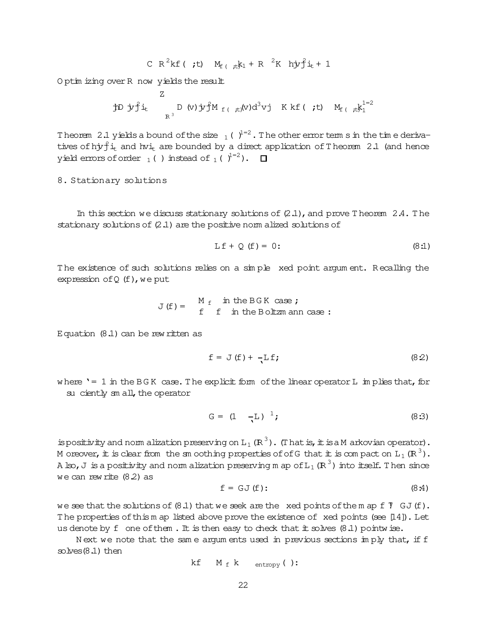$$
C R2kf ( ;t) Mf ( tkk1 + R 2K hyf2jt + 1
$$

O ptim izing over R now yields the result

Z  
\n
$$
\text{1D } \text{1D } \text{1D } \text{1D } \text{1D } \text{1D } \text{1D } \text{1D } \text{1D } \text{1D } \text{1D } \text{1D } \text{1D } \text{1D } \text{1D } \text{1D } \text{1D } \text{1D } \text{1D } \text{1D } \text{1D } \text{1D } \text{1D } \text{1D } \text{1D } \text{1D } \text{1D } \text{1D } \text{1D } \text{1D } \text{1D } \text{1D } \text{1D } \text{1D } \text{1D } \text{1D } \text{1D } \text{1D } \text{1D } \text{1D } \text{1D } \text{1D } \text{1D } \text{1D } \text{1D } \text{1D } \text{1D } \text{1D } \text{1D } \text{1D } \text{1D } \text{1D } \text{1D } \text{1D } \text{1D } \text{1D } \text{1D } \text{1D } \text{1D } \text{1D } \text{1D } \text{1D } \text{1D } \text{1D } \text{1D } \text{1D } \text{1D } \text{1D } \text{1D } \text{1D } \text{1D } \text{1D } \text{1D } \text{1D } \text{1D } \text{1D } \text{1D } \text{1D } \text{1D } \text{1D } \text{1D } \text{1D } \text{1D } \text{1D } \text{1D } \text{1D } \text{1D } \text{1D } \text{1D } \text{1D } \text{1D } \text{1D } \text{1D } \text{1D } \text{1D } \text{1D } \text{1D } \text{1D } \text{1D } \text{1D } \text{1D } \text{1D } \text{1D } \text{1D } \text{1D } \text{1D } \text{1D } \text{1D } \text{1D } \text{1D } \text{1D } \text{1D } \text{1D } \text{1D } \text{1D } \text{1D } \text{1D } \text{1D } \text{1D } \text{1D } \text{1D } \text{1D } \text{1D } \text{1D } \text{1D } \text{1D }
$$

Theorem 2.1 yields a bound of the size  $_1$  (  $\rangle$ <sup>1=2</sup>. The other error term s in the time derivatives of hj $r_j^2$ i<sub>t</sub> and hvi<sub>t</sub> are bounded by a direct application of Theorem 2.1 (and hence yield errors of order  $_1$  ( ) instead of  $_1$  (  $j^{1=2}$ ).

8. Stationary solutions

In this section we discuss stationary solutions of  $(2.1)$ , and prove T heorem 2.4. The stationary solutions of  $(2.1)$  are the positive norm alized solutions of

$$
Lf + Q(f) = 0:
$$
 (8:1)

The existence of such solutions relies on a simple xed point argum ent. Recalling the expression of  $Q(f)$ , we put

$$
J(f) = \begin{cases} M_f & \text{in the BGK case ;} \\ f & \text{in the Boltzmann case :} \end{cases}
$$

Equation  $(8.1)$  can be rew ritten as

$$
f = J(f) + \frac{1}{2} \mathbf{f}; \qquad (8.2)
$$

where '=  $1$  in the BGK case. The explicit form of the linear operator L im plies that, for su ciently sm all, the operator

$$
G = (1 - L)^{-1}; \t(8.3)
$$

ispositivity and norm alization preserving on L<sub>1</sub> (R<sup>3</sup>). (That is, it is a M arkovian operator). M oreover, it is clear from the sm oothing properties of of G that it is compact on  $L_1(R^3)$ . A lso, J is a positivity and norm alization preserving m ap of  $L_1$  ( $\mathbb{R}^3$ ) into itself. Then since we can rew rite  $(8.2)$  as

$$
f = GJ(f): \qquad (8.4)
$$

we see that the solutions of  $(8.1)$  that we seek are the xed points of the m ap f  $\overline{1}$  GJ(f). The properties of this m ap listed above prove the existence of  $x$ ed points (see [14]). Let us denote by f one of them. It is then easy to check that it solves  $(8.1)$  pointw ise.

N ext we note that the same argum ents used in previous sections im ply that, if f  $s$ olves $(8.1)$  then

$$
kf \t M_f k \tentropy();
$$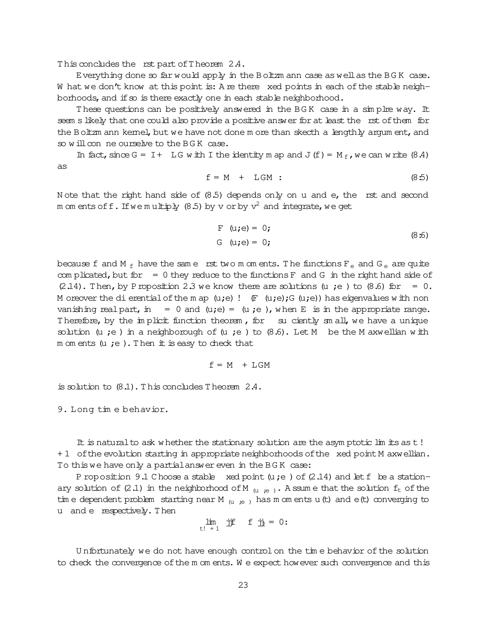This concludes the rst part of Theorem 2.4.

Everything done so far would apply in the Boltzm ann case as well as the BGK case. W hat we don't know at this point is: A re there xed points in each of the stable neighborhoods, and if so is there exactly one in each stable neighborhood.

These questions can be positively answered in the BGK case in a simplre way. It seem s likely that one could also provide a positive answer for at least the rst of them for the Boltzm ann kernel, but we have not done m ore than skecth a lengthly argum ent, and so will conne ourselve to the BGK case.

In fact, since G = I + LG w ith I the identity m ap and J  $(f) = M_f$ , we can w rite (8.4) as

$$
f = M + LGM
$$
 (8.5)

N ote that the right hand side of (8.5) depends only on u and e, the rst and second m om ents off. If we multiply (8.5) by  $\rm v$  or by  $\rm v^2$  and integrate, we get

F (u;e)= 0; G (u;e)= 0; (8:6)

because f and M  $_f$  have the same rst two m om ents. The functions  $F_e$  and G<sub>e</sub> are quite com plicated, but for  $= 0$  they reduce to the functions F and G in the right hand side of  $(2.14)$ . Then, by Proposition 2.3 we know there are solutions (u ;e) to  $(8.6)$  for = 0. M oreover the dierential of the m ap  $(u;e)$ !  $(F (u;e);G (u;e))$  has eigenvalues with non vanishing realpart, in = 0 and (u;e) = (u;e), when E is in the appropriate range. Therefore, by the implicit function theorem, for su ciently sm all, we have a unique solution (u ;e) in a neighborough of (u ;e) to  $(8.6)$ . Let M be the M axwellian with m om ents  $(u ; e)$ . Then it is easy to check that

$$
f = M + LGM
$$

is solution to (8.1).T his concludes T heorem 2.4.

9. Long tim e behavior.

It is natural to ask w hether the stationary solution are the asym ptotic lim its as t! + 1 of the evolution starting in appropriate neighborhoods of the xed point M axwellian. To this we have only a partial answer even in the BGK case:

P roposition 9.1 Choose a stable xed point ( $u : e$ ) of (2.14) and let  $f$  be a stationary solution of (2.1) in the neighborhood of M  $_{(u ,ie)}$ . A ssum e that the solution  $f_t$  of the tim e dependent problem starting near M  $_{(u,ie)}$  has m om ents u(t) and e(t) converging to u and e respectively. Then

$$
\lim_{t \downarrow +1} \quad \text{if} \quad f \quad \text{if} \quad = 0:
$$

U nfortunately we do not have enough controlon the tim e behavior of the solution to check the convergence of the m om ents. W e expect how ever such convergence and this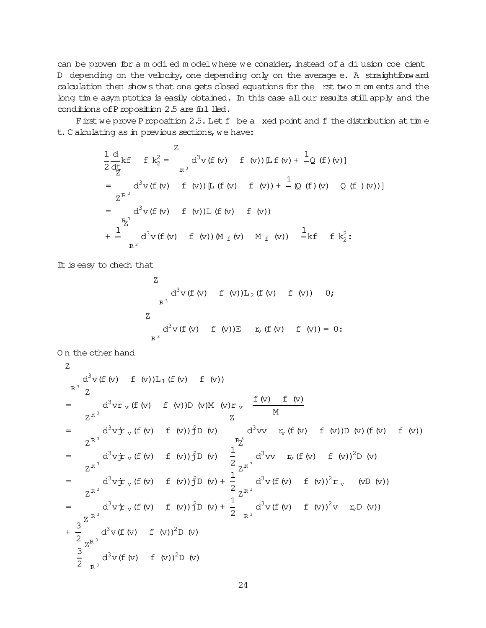can be proven for a m odied m odelw here we consider, instead of a diusion coe cient D depending on the velocity, one depending only on the average e. A straightforward calculation then show s that one gets closed equations for the rst two m om ents and the long tim e asym ptotics is easily obtained. In this case all our results still apply and the conditions of Proposition 2.5 are ful lled.

Firstwe prove Proposition 2.5. Let f be a xed point and f the distribution at time t. C alculating as in previous sections, we have:

$$
\frac{1}{2} \frac{d}{dt} k f f f k_2^2 = \frac{Z}{R^3} d^3 v (f (v) f (v)) [L f (v) + \frac{1}{Q} (f) (v)]
$$
\n
$$
= \frac{Z^{R^3}}{R^3} d^3 v (f (v) f (v)) [L (f (v) f (v)) + \frac{1}{Q} (f) (v) Q (f) (v))]
$$
\n
$$
= \frac{Z^{R^3}}{R^3} d^3 v (f (v) f (v)) [L (f (v) f (v)) + \frac{1}{Q} (f) (f) (v) Q (f) (v))]
$$
\n
$$
+ \frac{1}{R^3} d^3 v (f (v) f (v)) [M_f (v) H_f (v)]
$$

It is easy to chech that

Z  
\n
$$
d^3v
$$
 (f (v) f (v))L<sub>2</sub> (f (v) f (v)) 0;  
\nR<sup>3</sup>  
\n $d^3v$  (f (v) f (v))E  
\n $r_v$  (f (v) f (v)) = 0:

O n the other hand

Z  
\n
$$
d^3v
$$
 (f (v) f (v))L<sub>1</sub> (f (v) f (v))  
\n $\begin{array}{l}\nR^3 \quad Z \\
Z^R\n\end{array}$   
\n $= \begin{array}{l}\nd^3vr \cdot (f (v) f (v))D (v)M (v)r \cdot \frac{f (v) f (v)}{M} \\
Z^R\n\end{array}$   
\n $= \begin{array}{l}\nd^3v \cdot r \cdot (f (v) f (v))f^D(v) & \frac{d^3v}{L^2} \cdot (f (v) f (v))D (v) (f (v) f (v)) \\
Z^R\n\end{array}$   
\n $= \begin{array}{l}\n2^{R^3} \\
d^3v \cdot r \cdot (f (v) f (v))f^D(v) & \frac{1}{2} \\
Z^R\n\end{array}$   
\n $= \begin{array}{l}\nd^3v \cdot r \cdot (f (v) f (v))f^D(v) + \frac{1}{2} \cdot d^3v \cdot r \cdot (f (v) f (v))^2D (v) \\
Z^R\n\end{array}$   
\n $= \begin{array}{l}\n2^{R^3} \\
d^3v \cdot r \cdot (f (v) f (v))f^D(v) + \frac{1}{2} \cdot d^3v (f (v) f (v))^2r \cdot (vD (v)) \\
Z^R\n\end{array}$   
\n $= \begin{array}{l}\n2^{R^3} \\
d^3v \cdot r \cdot (f (v) f (v))^2D (v) + \frac{1}{2} \cdot d^3v (f (v) f (v))^2v \cdot r \cdot (vD (v)) \\
Z^R\n\end{array}$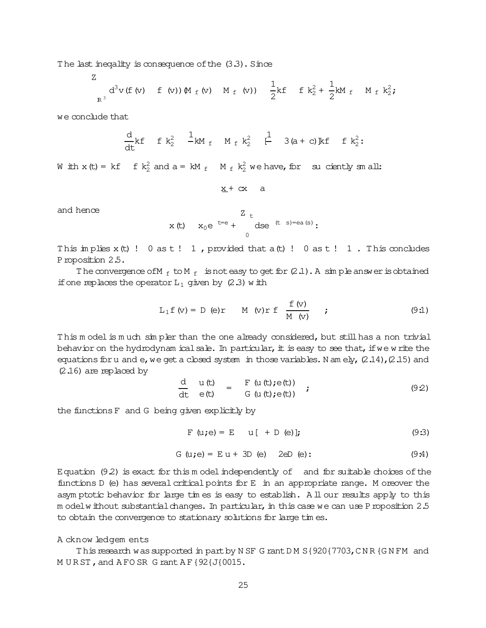The last inequality is consequence of the  $(3.3)$ . Since

Z  
<sub>R<sup>3</sup></sub> d<sup>3</sup>v (f (v) f (v)) M<sub>f</sub> (v) M<sub>f</sub> (v) 
$$
\frac{1}{2}
$$
kf f k<sup>2</sup><sub>2</sub> +  $\frac{1}{2}$ kM<sub>f</sub> M<sub>f</sub> k<sup>2</sup><sub>2</sub>;

we conclude that

$$
\frac{d}{dt} k f \quad f k_2^2 \quad \frac{1}{-kM} \, f \quad M_f k_2^2 \quad \left[ \begin{matrix} \frac{1}{-} & 3(a+c) \, k f & f k_2^2 \\ 1 & 3(a+c) \, k f & f k_2^2 \end{matrix} \right].
$$

W ith  $x(t) = kf$  f  $k_2^2$  and  $a = kM_f$  M  $_f$   $k_2^2$  we have, for suciently sm all:

 $x + cx$  a

and hence

$$
x(t) \, x_0 e^{t = e} + \frac{z_t}{0} ds e^{(t - s) = ea(s)};
$$

This implies  $x(t)$  ! 0 as  $t$  ! 1, provided that  $a(t)$  ! 0 as  $t$  ! 1. This concludes Proposition 2.5.

The convergence of M  $_f$  to M  $_f$  is not easy to get for  $(2.1)$ . A sim ple answer is obtained if one replaces the operator  $L_1$  given by (2.3) with

$$
L_1 f(v) = D(e)r \qquad M(v)r f \frac{f(v)}{M(v)} \qquad ; \qquad (9.1)
$$

This m odelis much simpler than the one already considered, but still has a non trivial behavior on the hydrodynam icalsale. In particular, it is easy to see that, if we write the equations for u and e, we get a closed system in those variables. N am ely,  $(2.14)$ ,  $(2.15)$  and  $(2.16)$  are replaced by

$$
\frac{d}{dt} u(t) = F(u(t);e(t)) \n e(t) = G(u(t);e(t))
$$
\n(9.2)

the functionsF and G being given explicitly by

$$
F(u;e) = E \t u [ + D(e)]; \t(9:3)
$$

$$
G (u; e) = E u + 3D (e)
$$
 2eD (e): (9:4)

Equation  $(9.2)$  is exact for this m odel independently of and for suitable choices of the functions  $D$  (e) has several critical points for E in an appropriate range. M oreover the asym ptotic behavior for large tim es is easy to establish. A ll our results apply to this m odelw ithout substantial changes. In particular, in this case we can use Proposition 2.5 to obtain the convergence to stationary solutions for large tim es.

### A cknow ledgem ents

This research was supported in part by N SF G rant DM S { 920 { 7703, CNR {GN FM and M URST, and AFO SR G rant AF {92{J{0015.